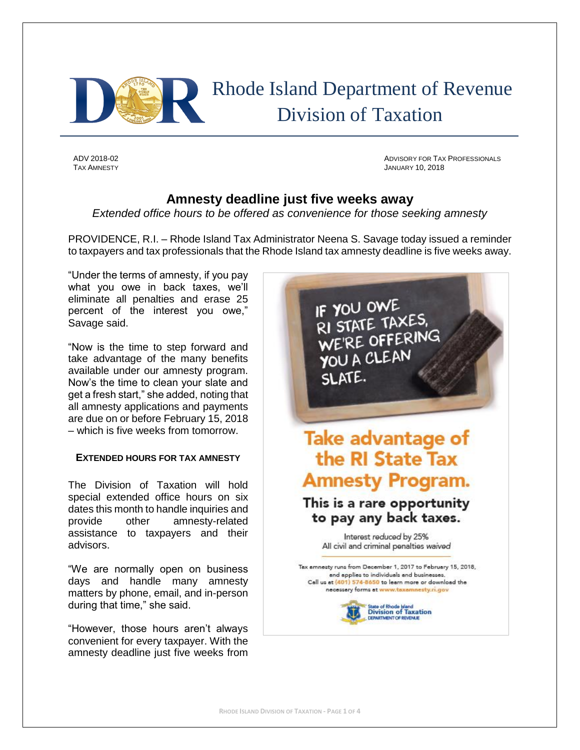

 Rhode Island Department of Revenue Division of Taxation

ADV 2018-02 ADVISORY FOR TAX PROFESSIONALS **JANUARY 10, 2018** 

# **Amnesty deadline just five weeks away**

*Extended office hours to be offered as convenience for those seeking amnesty*

PROVIDENCE, R.I. – Rhode Island Tax Administrator Neena S. Savage today issued a reminder to taxpayers and tax professionals that the Rhode Island tax amnesty deadline is five weeks away.

"Under the terms of amnesty, if you pay what you owe in back taxes, we'll eliminate all penalties and erase 25 percent of the interest you owe," Savage said.

"Now is the time to step forward and take advantage of the many benefits available under our amnesty program. Now's the time to clean your slate and get a fresh start," she added, noting that all amnesty applications and payments are due on or before February 15, 2018 – which is five weeks from tomorrow.

# **EXTENDED HOURS FOR TAX AMNESTY**

The Division of Taxation will hold special extended office hours on six dates this month to handle inquiries and provide other amnesty-related assistance to taxpayers and their advisors.

"We are normally open on business days and handle many amnesty matters by phone, email, and in-person during that time," she said.

"However, those hours aren't always convenient for every taxpayer. With the amnesty deadline just five weeks from

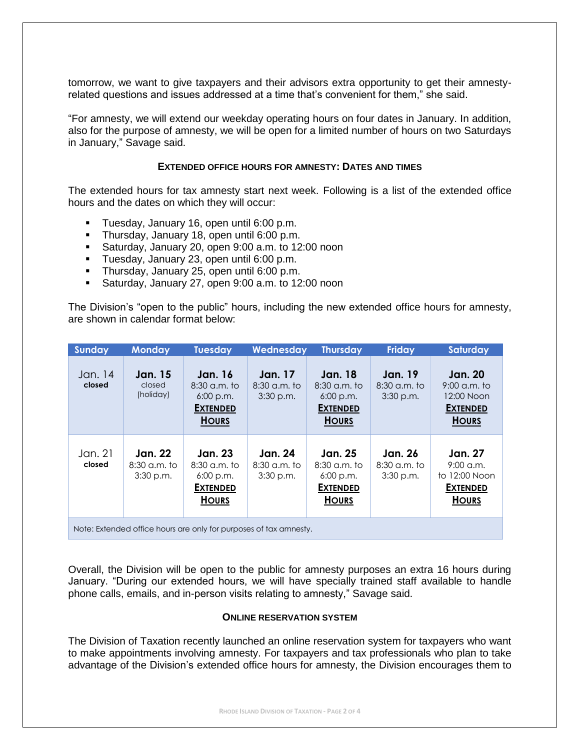tomorrow, we want to give taxpayers and their advisors extra opportunity to get their amnestyrelated questions and issues addressed at a time that's convenient for them," she said.

"For amnesty, we will extend our weekday operating hours on four dates in January. In addition, also for the purpose of amnesty, we will be open for a limited number of hours on two Saturdays in January," Savage said.

## **EXTENDED OFFICE HOURS FOR AMNESTY: DATES AND TIMES**

The extended hours for tax amnesty start next week. Following is a list of the extended office hours and the dates on which they will occur:

- Tuesday, January 16, open until 6:00 p.m.
- **Thursday, January 18, open until 6:00 p.m.**
- Saturday, January 20, open 9:00 a.m. to 12:00 noon
- **Tuesday, January 23, open until 6:00 p.m.**
- **Thursday, January 25, open until 6:00 p.m.**
- Saturday, January 27, open 9:00 a.m. to 12:00 noon

The Division's "open to the public" hours, including the new extended office hours for amnesty, are shown in calendar format below:

| Sunday                                                            | <b>Monday</b>                                   | <b>Tuesday</b>                                                                     | Wednesday                                     | <b>Thursday</b>                                                                    | <b>Friday</b>                                   | Saturday                                                                          |  |
|-------------------------------------------------------------------|-------------------------------------------------|------------------------------------------------------------------------------------|-----------------------------------------------|------------------------------------------------------------------------------------|-------------------------------------------------|-----------------------------------------------------------------------------------|--|
| Jan. 14<br>closed                                                 | <b>Jan.</b> 15<br>closed<br>(holiday)           | <b>Jan. 16</b><br>$8:30$ a.m. to<br>$6:00$ p.m.<br><b>EXTENDED</b><br><b>HOURS</b> | <b>Jan.</b> 17<br>$8:30$ a.m. to<br>3:30 p.m. | <b>Jan.</b> 18<br>$8:30$ a.m. to<br>$6:00$ p.m.<br><b>EXTENDED</b><br><b>HOURS</b> | <b>Jan.</b> 19<br>$8:30$ a.m. to<br>$3:30$ p.m. | <b>Jan. 20</b><br>$9:00$ a.m. to<br>12:00 Noon<br><b>EXTENDED</b><br><b>HOURS</b> |  |
| Jan. 21<br>closed                                                 | <b>Jan. 22</b><br>$8:30$ a.m. to<br>$3:30$ p.m. | Jan. 23<br>$8:30$ a.m. to<br>$6:00$ p.m.<br><b>EXTENDED</b><br><b>HOURS</b>        | Jan. 24<br>$8:30$ a.m. to<br>$3:30$ p.m.      | Jan. 25<br>$8:30$ a.m. to<br>$6:00$ p.m.<br><b>EXTENDED</b><br><b>HOURS</b>        | Jan. 26<br>$8:30$ a.m. to<br>$3:30$ p.m.        | <b>Jan. 27</b><br>$9:00$ a.m.<br>to 12:00 Noon<br><b>EXTENDED</b><br><b>HOURS</b> |  |
| Note: Extended office hours are only for purposes of tax amnesty. |                                                 |                                                                                    |                                               |                                                                                    |                                                 |                                                                                   |  |

Overall, the Division will be open to the public for amnesty purposes an extra 16 hours during January. "During our extended hours, we will have specially trained staff available to handle phone calls, emails, and in-person visits relating to amnesty," Savage said.

# **ONLINE RESERVATION SYSTEM**

The Division of Taxation recently launched an online reservation system for taxpayers who want to make appointments involving amnesty. For taxpayers and tax professionals who plan to take advantage of the Division's extended office hours for amnesty, the Division encourages them to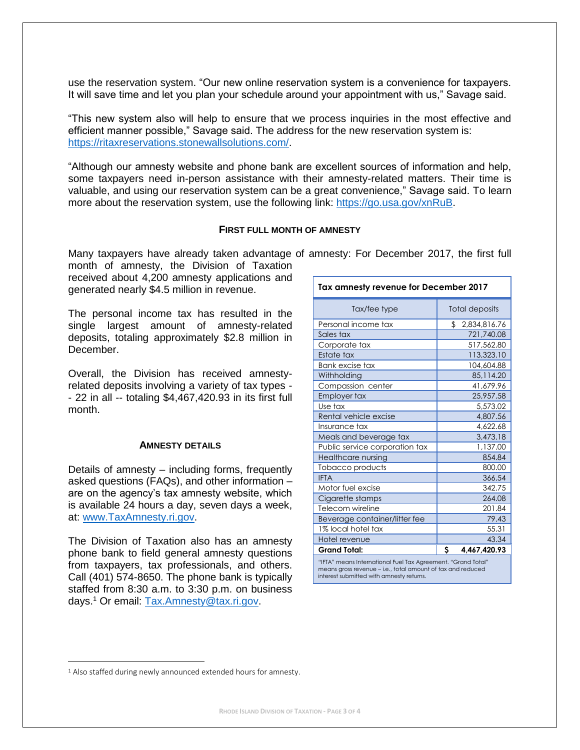use the reservation system. "Our new online reservation system is a convenience for taxpayers. It will save time and let you plan your schedule around your appointment with us," Savage said.

"This new system also will help to ensure that we process inquiries in the most effective and efficient manner possible," Savage said. The address for the new reservation system is: [https://ritaxreservations.stonewallsolutions.com/.](https://ritaxreservations.stonewallsolutions.com/)

"Although our amnesty website and phone bank are excellent sources of information and help, some taxpayers need in-person assistance with their amnesty-related matters. Their time is valuable, and using our reservation system can be a great convenience," Savage said. To learn more about the reservation system, use the following link: [https://go.usa.gov/xnRuB.](https://go.usa.gov/xnRuB)

### **FIRST FULL MONTH OF AMNESTY**

Many taxpayers have already taken advantage of amnesty: For December 2017, the first full

month of amnesty, the Division of Taxation received about 4,200 amnesty applications and generated nearly \$4.5 million in revenue.

The personal income tax has resulted in the single largest amount of amnesty-related deposits, totaling approximately \$2.8 million in December.

Overall, the Division has received amnestyrelated deposits involving a variety of tax types - - 22 in all -- totaling \$4,467,420.93 in its first full month.

### **AMNESTY DETAILS**

Details of amnesty – including forms, frequently asked questions (FAQs), and other information – are on the agency's tax amnesty website, which is available 24 hours a day, seven days a week, at: [www.TaxAmnesty.ri.gov.](http://www.taxamnesty.ri.gov/)

The Division of Taxation also has an amnesty phone bank to field general amnesty questions from taxpayers, tax professionals, and others. Call (401) 574-8650. The phone bank is typically staffed from 8:30 a.m. to 3:30 p.m. on business days.<sup>1</sup> Or email: [Tax.Amnesty@tax.ri.gov.](mailto:tax.amnesty@tax.ri.gov)

| Tax amnesty revenue for December 2017                        |                       |  |  |  |  |
|--------------------------------------------------------------|-----------------------|--|--|--|--|
| Tax/fee type                                                 | <b>Total deposits</b> |  |  |  |  |
| Personal income tax                                          | \$<br>2,834,816.76    |  |  |  |  |
| Sales tax                                                    | 721,740.08            |  |  |  |  |
| Corporate tax                                                | 517,562.80            |  |  |  |  |
| Estate tax                                                   | 113,323.10            |  |  |  |  |
| <b>Bank excise tax</b>                                       | 104,604.88            |  |  |  |  |
| Withholding                                                  | 85,114.20             |  |  |  |  |
| Compassion center                                            | 41,679.96             |  |  |  |  |
| Employer tax                                                 | 25,957.58             |  |  |  |  |
| Use tax                                                      | 5,573.02              |  |  |  |  |
| Rental vehicle excise                                        | 4,807.56              |  |  |  |  |
| Insurance tax                                                | 4,622.68              |  |  |  |  |
| Meals and beverage tax                                       | 3,473.18              |  |  |  |  |
| Public service corporation tax                               | 1,137.00              |  |  |  |  |
| Healthcare nursing                                           | 854.84                |  |  |  |  |
| Tobacco products                                             | 800.00                |  |  |  |  |
| <b>IFTA</b>                                                  | 366.54                |  |  |  |  |
| Motor fuel excise                                            | 342.75                |  |  |  |  |
| Cigarette stamps                                             | 264.08                |  |  |  |  |
| Telecom wireline                                             | 201.84                |  |  |  |  |
| Beverage container/litter fee                                | 79.43                 |  |  |  |  |
| 1% local hotel tax                                           | 55.31                 |  |  |  |  |
| Hotel revenue                                                | 43.34                 |  |  |  |  |
| <b>Grand Total:</b>                                          | Ś<br>4,467,420.93     |  |  |  |  |
| "IFTA" means International Fuel Tax Agreement. "Grand Total" |                       |  |  |  |  |

means gross revenue – i.e., total amount of tax and reduced interest submitted with amnesty returns.

 $\overline{a}$ 

<sup>&</sup>lt;sup>1</sup> Also staffed during newly announced extended hours for amnesty.